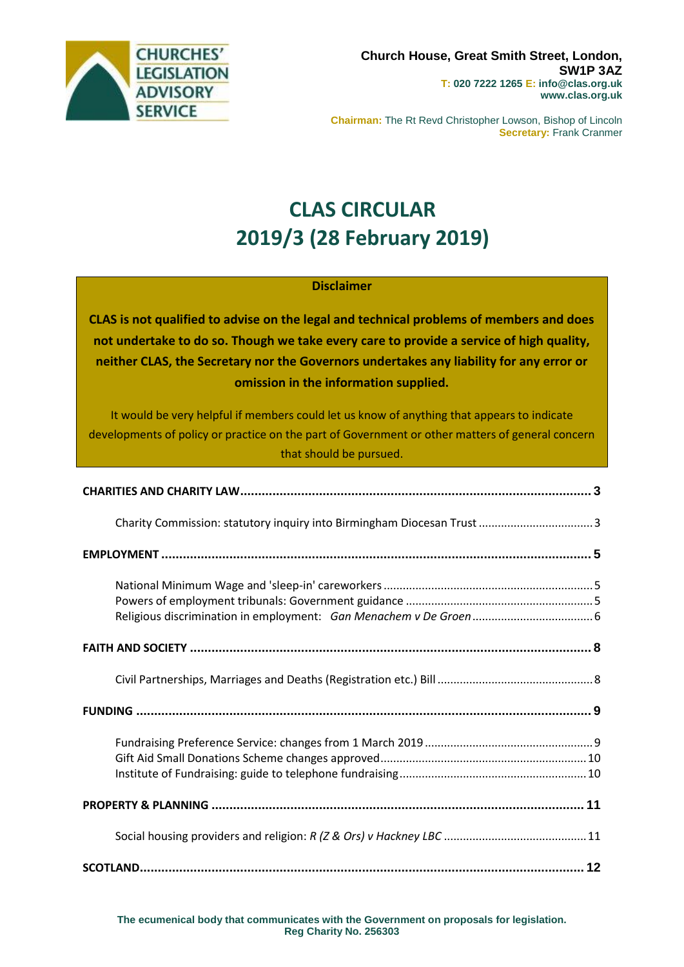

**Chairman:** The Rt Revd Christopher Lowson, Bishop of Lincoln **Secretary:** Frank Cranmer

# **CLAS CIRCULAR 2019/3 (28 February 2019)**

#### **Disclaimer**

**CLAS is not qualified to advise on the legal and technical problems of members and does not undertake to do so. Though we take every care to provide a service of high quality, neither CLAS, the Secretary nor the Governors undertakes any liability for any error or omission in the information supplied.**

It would be very helpful if members could let us know of anything that appears to indicate developments of policy or practice on the part of Government or other matters of general concern that should be pursued.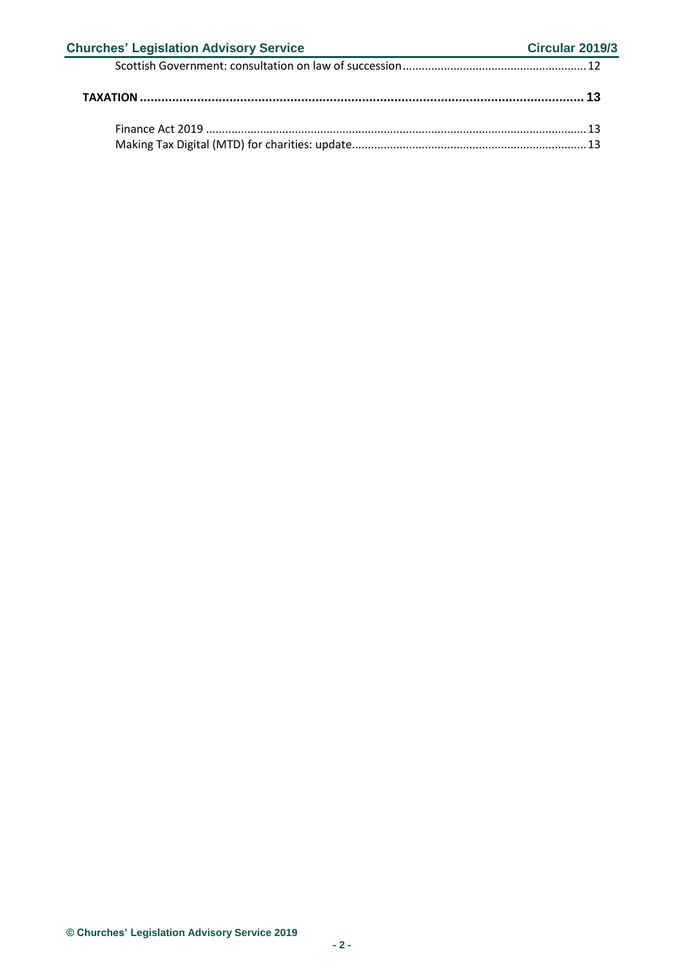| <b>Churches' Legislation Advisory Service</b> | Circular 2019/3 |
|-----------------------------------------------|-----------------|
|                                               |                 |
|                                               |                 |
|                                               |                 |
|                                               |                 |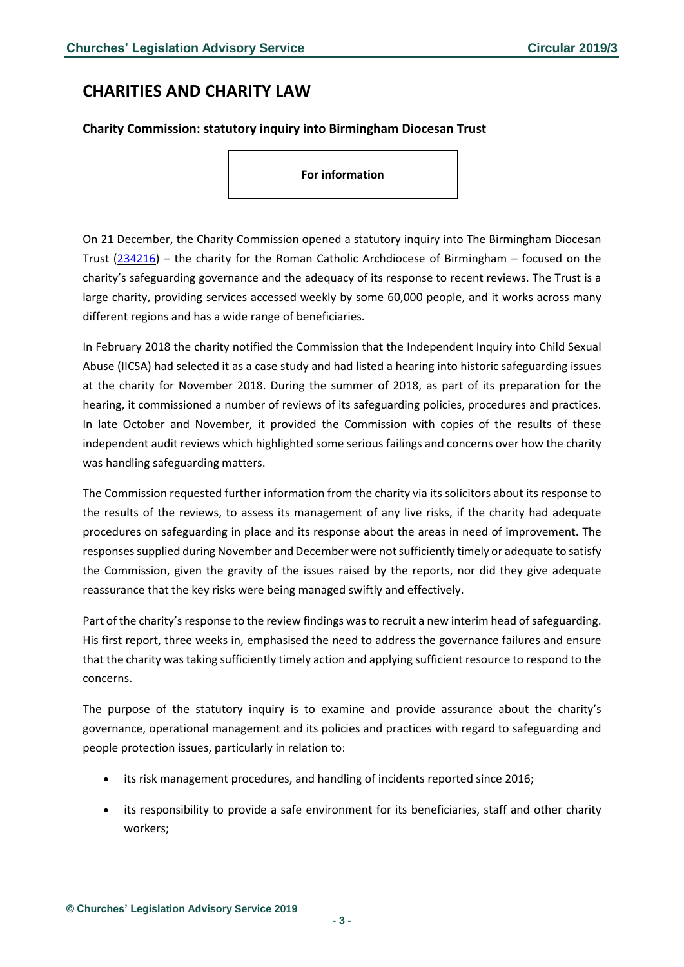### <span id="page-2-0"></span>**CHARITIES AND CHARITY LAW**

#### <span id="page-2-1"></span>**Charity Commission: statutory inquiry into Birmingham Diocesan Trust**

**For information**

On 21 December, the Charity Commission opened a statutory inquiry into The Birmingham Diocesan Trust [\(234216\)](http://apps.charitycommission.gov.uk/Showcharity/RegisterOfCharities/CharityWithPartB.aspx?RegisteredCharityNumber=234216&SubsidiaryNumber=0) – the charity for the Roman Catholic Archdiocese of Birmingham – focused on the charity's safeguarding governance and the adequacy of its response to recent reviews. The Trust is a large charity, providing services accessed weekly by some 60,000 people, and it works across many different regions and has a wide range of beneficiaries.

In February 2018 the charity notified the Commission that the Independent Inquiry into Child Sexual Abuse (IICSA) had selected it as a case study and had listed a hearing into historic safeguarding issues at the charity for November 2018. During the summer of 2018, as part of its preparation for the hearing, it commissioned a number of reviews of its safeguarding policies, procedures and practices. In late October and November, it provided the Commission with copies of the results of these independent audit reviews which highlighted some serious failings and concerns over how the charity was handling safeguarding matters.

The Commission requested further information from the charity via its solicitors about its response to the results of the reviews, to assess its management of any live risks, if the charity had adequate procedures on safeguarding in place and its response about the areas in need of improvement. The responses supplied during November and December were not sufficiently timely or adequate to satisfy the Commission, given the gravity of the issues raised by the reports, nor did they give adequate reassurance that the key risks were being managed swiftly and effectively.

Part of the charity's response to the review findings was to recruit a new interim head of safeguarding. His first report, three weeks in, emphasised the need to address the governance failures and ensure that the charity was taking sufficiently timely action and applying sufficient resource to respond to the concerns.

The purpose of the statutory inquiry is to examine and provide assurance about the charity's governance, operational management and its policies and practices with regard to safeguarding and people protection issues, particularly in relation to:

- its risk management procedures, and handling of incidents reported since 2016;
- its responsibility to provide a safe environment for its beneficiaries, staff and other charity workers;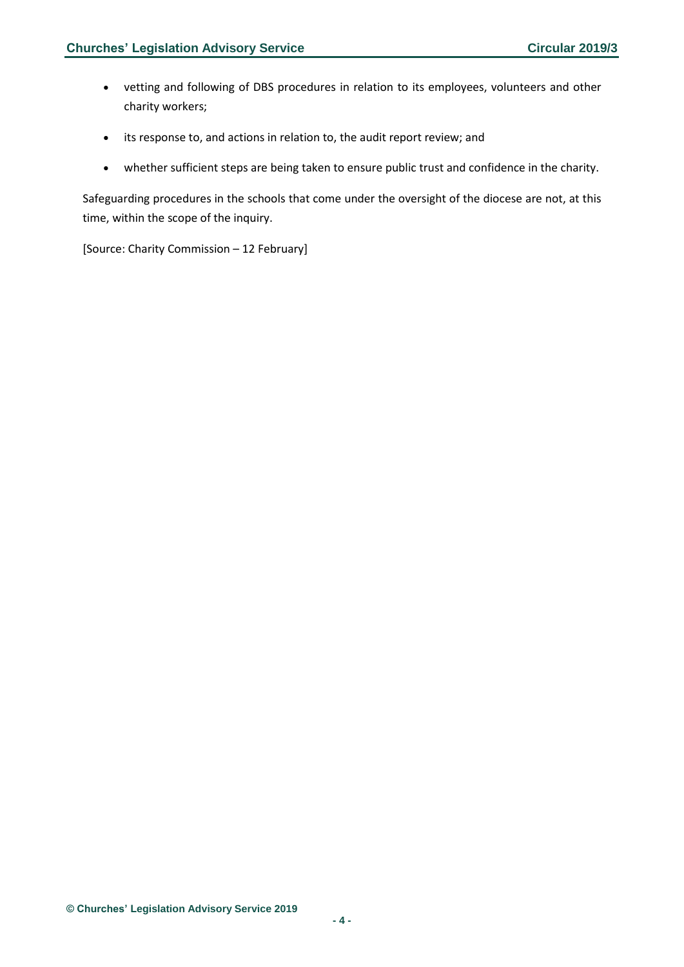- vetting and following of DBS procedures in relation to its employees, volunteers and other charity workers;
- its response to, and actions in relation to, the audit report review; and
- whether sufficient steps are being taken to ensure public trust and confidence in the charity.

Safeguarding procedures in the schools that come under the oversight of the diocese are not, at this time, within the scope of the inquiry.

[Source: Charity Commission – 12 February]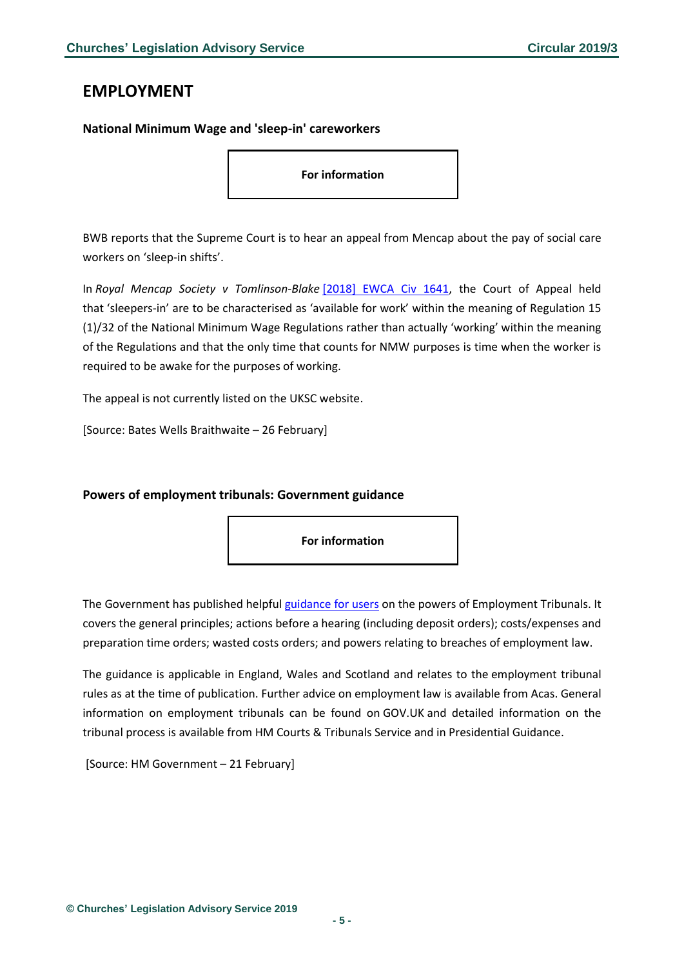### <span id="page-4-0"></span>**EMPLOYMENT**

#### <span id="page-4-1"></span>**National Minimum Wage and 'sleep-in' careworkers**

**For information**

BWB reports that the Supreme Court is to hear an appeal from Mencap about the pay of social care workers on 'sleep-in shifts'.

In *Royal Mencap Society v Tomlinson-Blake* [\[2018\] EWCA Civ 1641,](https://www.bailii.org/cgi-bin/format.cgi?doc=/ew/cases/EWCA/Civ/2018/1641.html&query=(MENCAP)) the Court of Appeal held that 'sleepers-in' are to be characterised as 'available for work' within the meaning of Regulation 15 (1)/32 of the National Minimum Wage Regulations rather than actually 'working' within the meaning of the Regulations and that the only time that counts for NMW purposes is time when the worker is required to be awake for the purposes of working.

The appeal is not currently listed on the UKSC website.

[Source: Bates Wells Braithwaite – 26 February]

#### <span id="page-4-2"></span>**Powers of employment tribunals: Government guidance**

**For information**

The Government has published helpful [guidance](https://assets.publishing.service.gov.uk/government/uploads/system/uploads/attachment_data/file/777945/employment-tribunal-powers-user-guidance.pdf) for users on the powers of Employment Tribunals. It covers the general principles; actions before a hearing (including deposit orders); costs/expenses and preparation time orders; wasted costs orders; and powers relating to breaches of employment law.

The guidance is applicable in England, Wales and Scotland and relates to the employment tribunal rules as at the time of publication. Further advice on employment law is available from Acas. General information on employment tribunals can be found on GOV.UK and detailed information on the tribunal process is available from HM Courts & Tribunals Service and in Presidential Guidance.

[Source: HM Government – 21 February]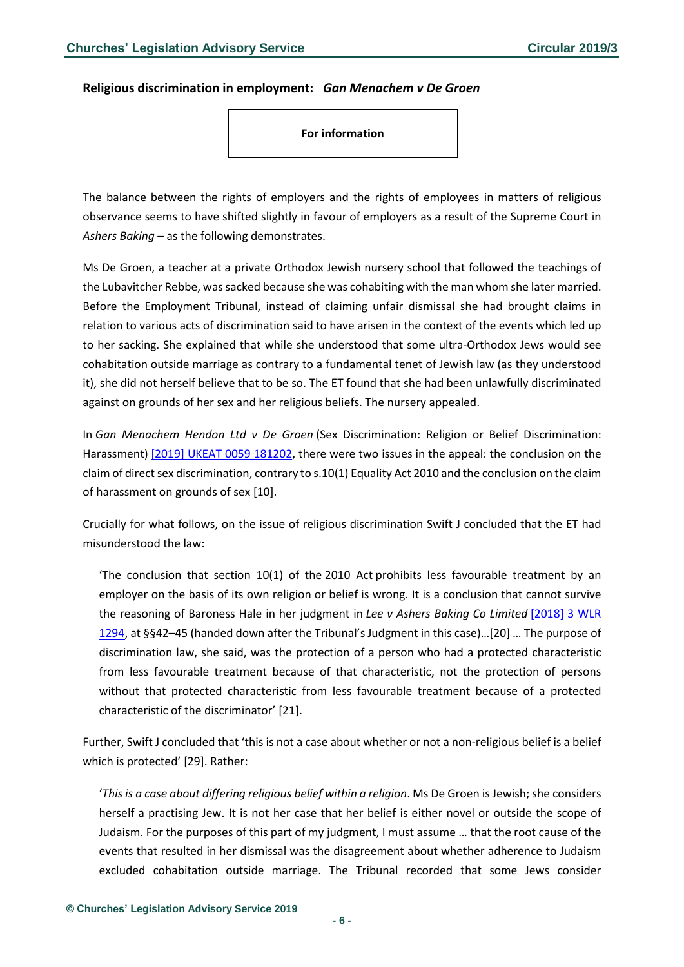#### <span id="page-5-0"></span>**Religious discrimination in employment:** *Gan Menachem v De Groen*

**For information**

The balance between the rights of employers and the rights of employees in matters of religious observance seems to have shifted slightly in favour of employers as a result of the Supreme Court in *Ashers Baking* – as the following demonstrates.

Ms De Groen, a teacher at a private Orthodox Jewish nursery school that followed the teachings of the Lubavitcher Rebbe, wassacked because she was cohabiting with the man whom she later married. Before the Employment Tribunal, instead of claiming unfair dismissal she had brought claims in relation to various acts of discrimination said to have arisen in the context of the events which led up to her sacking. She explained that while she understood that some ultra-Orthodox Jews would see cohabitation outside marriage as contrary to a fundamental tenet of Jewish law (as they understood it), she did not herself believe that to be so. The ET found that she had been unlawfully discriminated against on grounds of her sex and her religious beliefs. The nursery appealed.

In *Gan Menachem Hendon Ltd v De Groen* (Sex Discrimination: Religion or Belief Discrimination: Harassment) [2019] UKEAT 0059 [181202,](https://www.bailii.org/uk/cases/UKEAT/2019/0059_18_1202.html) there were two issues in the appeal: the conclusion on the claim of direct sex discrimination, contrary to s.10(1) Equality Act 2010 and the conclusion on the claim of harassment on grounds of sex [10].

Crucially for what follows, on the issue of religious discrimination Swift J concluded that the ET had misunderstood the law:

'The conclusion that section 10(1) of the 2010 Act prohibits less favourable treatment by an employer on the basis of its own religion or belief is wrong. It is a conclusion that cannot survive the reasoning of Baroness Hale in her judgment in *Lee v Ashers Baking Co Limited* [\[2018\]](https://www.bailii.org/cgi-bin/redirect.cgi?path=/uk/cases/UKSC/2018/49.html) 3 WLR [1294,](https://www.bailii.org/cgi-bin/redirect.cgi?path=/uk/cases/UKSC/2018/49.html) at §§42–45 (handed down after the Tribunal's Judgment in this case)…[20] … The purpose of discrimination law, she said, was the protection of a person who had a protected characteristic from less favourable treatment because of that characteristic, not the protection of persons without that protected characteristic from less favourable treatment because of a protected characteristic of the discriminator' [21].

Further, Swift J concluded that 'this is not a case about whether or not a non-religious belief is a belief which is protected' [29]. Rather:

'*This is a case about differing religious belief within a religion*. Ms De Groen is Jewish; she considers herself a practising Jew. It is not her case that her belief is either novel or outside the scope of Judaism. For the purposes of this part of my judgment, I must assume … that the root cause of the events that resulted in her dismissal was the disagreement about whether adherence to Judaism excluded cohabitation outside marriage. The Tribunal recorded that some Jews consider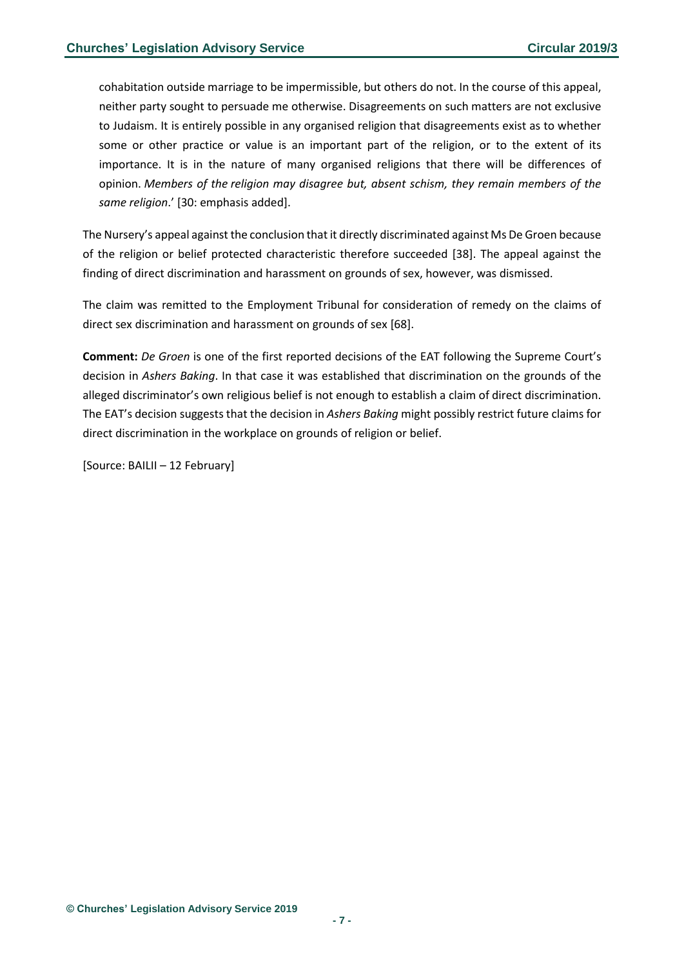cohabitation outside marriage to be impermissible, but others do not. In the course of this appeal, neither party sought to persuade me otherwise. Disagreements on such matters are not exclusive to Judaism. It is entirely possible in any organised religion that disagreements exist as to whether some or other practice or value is an important part of the religion, or to the extent of its importance. It is in the nature of many organised religions that there will be differences of opinion. *Members of the religion may disagree but, absent schism, they remain members of the same religion*.' [30: emphasis added].

The Nursery's appeal against the conclusion that it directly discriminated against Ms De Groen because of the religion or belief protected characteristic therefore succeeded [38]. The appeal against the finding of direct discrimination and harassment on grounds of sex, however, was dismissed.

The claim was remitted to the Employment Tribunal for consideration of remedy on the claims of direct sex discrimination and harassment on grounds of sex [68].

**Comment:** *De Groen* is one of the first reported decisions of the EAT following the Supreme Court's decision in *Ashers Baking*. In that case it was established that discrimination on the grounds of the alleged discriminator's own religious belief is not enough to establish a claim of direct discrimination. The EAT's decision suggests that the decision in *Ashers Baking* might possibly restrict future claims for direct discrimination in the workplace on grounds of religion or belief.

[Source: BAILII – 12 February]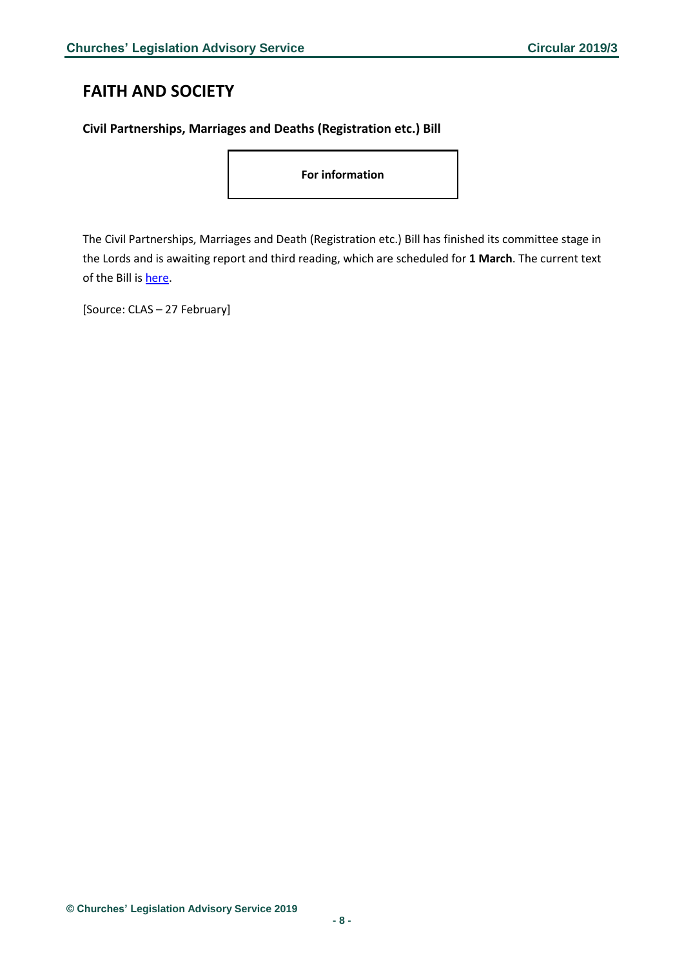# <span id="page-7-0"></span>**FAITH AND SOCIETY**

#### <span id="page-7-1"></span>**Civil Partnerships, Marriages and Deaths (Registration etc.) Bill**

**For information**

The Civil Partnerships, Marriages and Death (Registration etc.) Bill has finished its committee stage in the Lords and is awaiting report and third reading, which are scheduled for **1 March**. The current text of the Bill i[s here.](https://publications.parliament.uk/pa/bills/lbill/2017-2019/0158/18158.pdf)

[Source: CLAS – 27 February]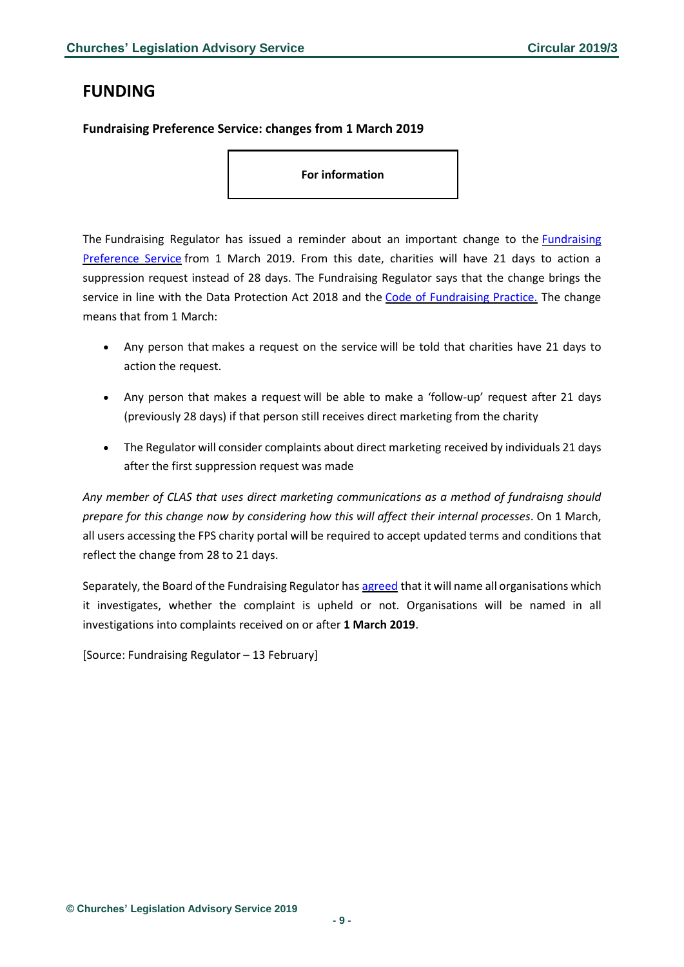# <span id="page-8-0"></span>**FUNDING**

#### <span id="page-8-1"></span>**Fundraising Preference Service: changes from 1 March 2019**

**For information**

The [Fundraising](https://www.fundraisingregulator.org.uk/complaints/fundraising-preference-service) Regulator has issued a reminder about an important change to the *Fundraising* [Preference](https://www.fundraisingregulator.org.uk/complaints/fundraising-preference-service) Service from 1 March 2019. From this date, charities will have 21 days to action a suppression request instead of 28 days. The Fundraising Regulator says that the change brings the service in line with the Data Protection Act 2018 and the Code of [Fundraising](https://www.fundraisingregulator.org.uk/code) Practice. The change means that from 1 March:

- Any person that makes a request on the service will be told that charities have 21 days to action the request.
- Any person that makes a request will be able to make a 'follow-up' request after 21 days (previously 28 days) if that person still receives direct marketing from the charity
- The Regulator will consider complaints about direct marketing received by individuals 21 days after the first suppression request was made

*Any member of CLAS that uses direct marketing communications as a method of fundraisng should prepare for this change now by considering how this will affect their internal processes*. On 1 March, all users accessing the FPS charity portal will be required to accept updated terms and conditions that reflect the change from 28 to 21 days.

Separately, the Board of the Fundraising Regulator has [agreed](https://www.fundraisingregulator.org.uk/more-from-us/news/naming-charities-we-investigate?utm_medium=email&utm_campaign=naming-charities-investigations-01&utm_source=newsletter) that it will name all organisations which it investigates, whether the complaint is upheld or not. Organisations will be named in all investigations into complaints received on or after **1 March 2019**.

[Source: Fundraising Regulator – 13 February]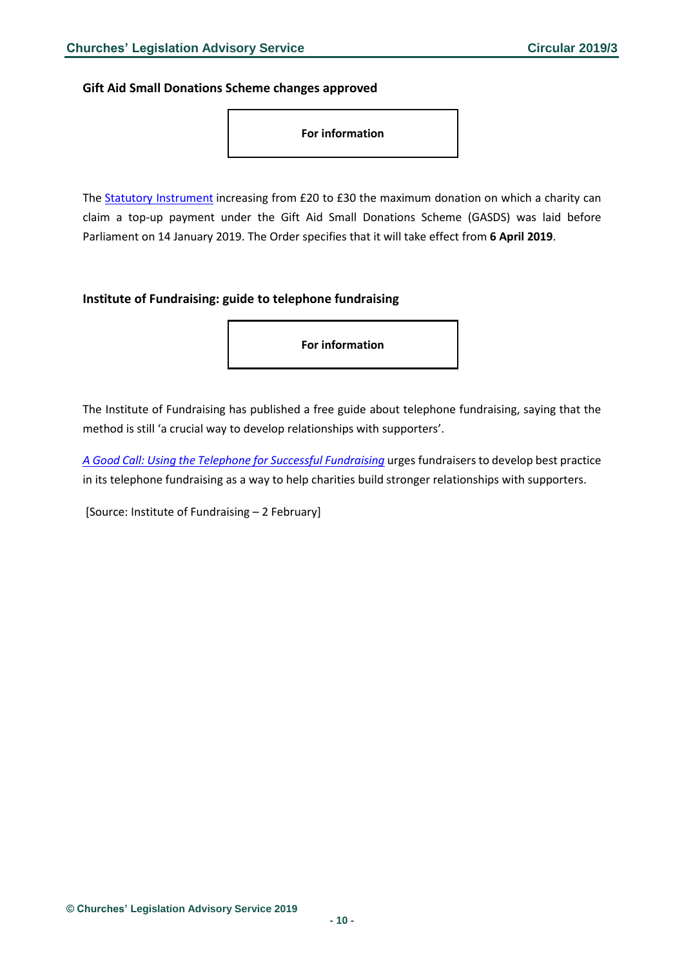<span id="page-9-0"></span>**Gift Aid Small Donations Scheme changes approved**



The Statutory [Instrument](http://www.legislation.gov.uk/ukdsi/2019/9780111178164/pdfs/ukdsiem_9780111178164_en.pdf) increasing from £20 to £30 the maximum donation on which a charity can claim a top-up payment under the Gift Aid Small Donations Scheme (GASDS) was laid before Parliament on 14 January 2019. The Order specifies that it will take effect from **6 April 2019**.

#### <span id="page-9-1"></span>**Institute of Fundraising: guide to telephone fundraising**

**For information**

The Institute of Fundraising has published a free guide about telephone fundraising, saying that the method is still 'a crucial way to develop relationships with supporters'.

*[A Good Call: Using the Telephone for Successful Fundraising](https://www.institute-of-fundraising.org.uk/library/a-good-call-using-the-telephone-for-successful-fundraising/)* urges fundraisers to develop best practice in its telephone fundraising as a way to help charities build stronger relationships with supporters.

[Source: Institute of Fundraising – 2 February]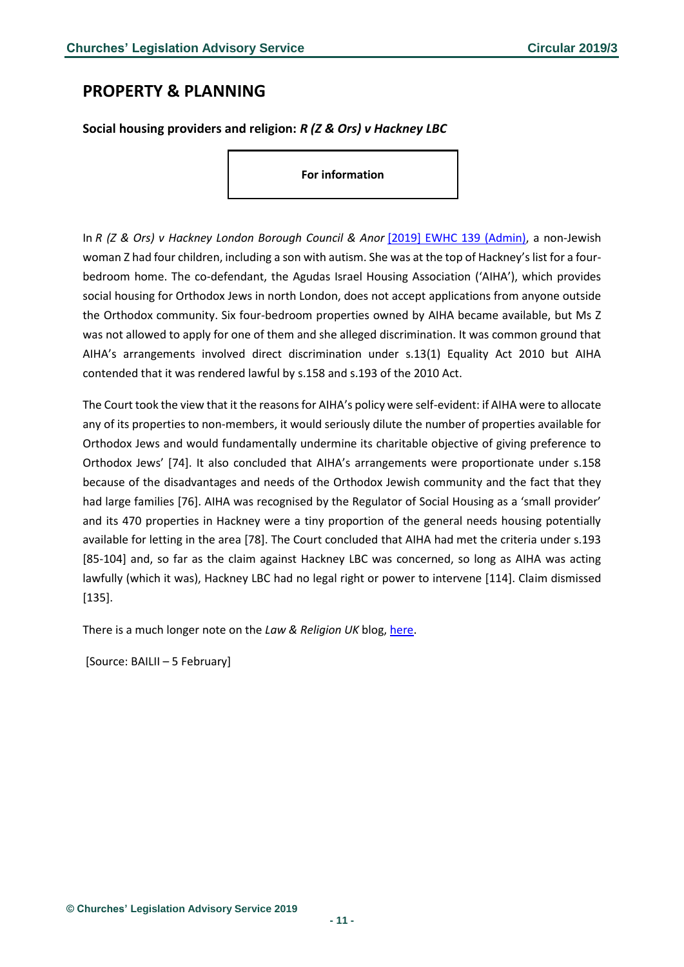# <span id="page-10-0"></span>**PROPERTY & PLANNING**

<span id="page-10-1"></span>**Social housing providers and religion:** *R (Z & Ors) v Hackney LBC*

**For information**

In *R (Z & Ors) v Hackney London Borough Council & Anor* [\[2019\] EWHC 139 \(Admin\),](https://www.bailii.org/ew/cases/EWHC/Admin/2019/139.html) a non-Jewish woman Z had four children, including a son with autism. She was at the top of Hackney's list for a fourbedroom home. The co-defendant, the Agudas Israel Housing Association ('AIHA'), which provides social housing for Orthodox Jews in north London, does not accept applications from anyone outside the Orthodox community. Six four-bedroom properties owned by AIHA became available, but Ms Z was not allowed to apply for one of them and she alleged discrimination. It was common ground that AIHA's arrangements involved direct discrimination under s.13(1) Equality Act 2010 but AIHA contended that it was rendered lawful by s.158 and s.193 of the 2010 Act.

The Court took the view that it the reasons for AIHA's policy were self-evident: if AIHA were to allocate any of its properties to non-members, it would seriously dilute the number of properties available for Orthodox Jews and would fundamentally undermine its charitable objective of giving preference to Orthodox Jews' [74]. It also concluded that AIHA's arrangements were proportionate under s.158 because of the disadvantages and needs of the Orthodox Jewish community and the fact that they had large families [76]. AIHA was recognised by the Regulator of Social Housing as a 'small provider' and its 470 properties in Hackney were a tiny proportion of the general needs housing potentially available for letting in the area [78]. The Court concluded that AIHA had met the criteria under s.193 [85-104] and, so far as the claim against Hackney LBC was concerned, so long as AIHA was acting lawfully (which it was), Hackney LBC had no legal right or power to intervene [114]. Claim dismissed [135].

There is a much longer note on the *Law & Religion UK* blog, [here.](http://www.lawandreligionuk.com/2019/02/07/social-housing-and-religion-r-z-ors-v-hackney-lbc/)

[Source: BAILII – 5 February]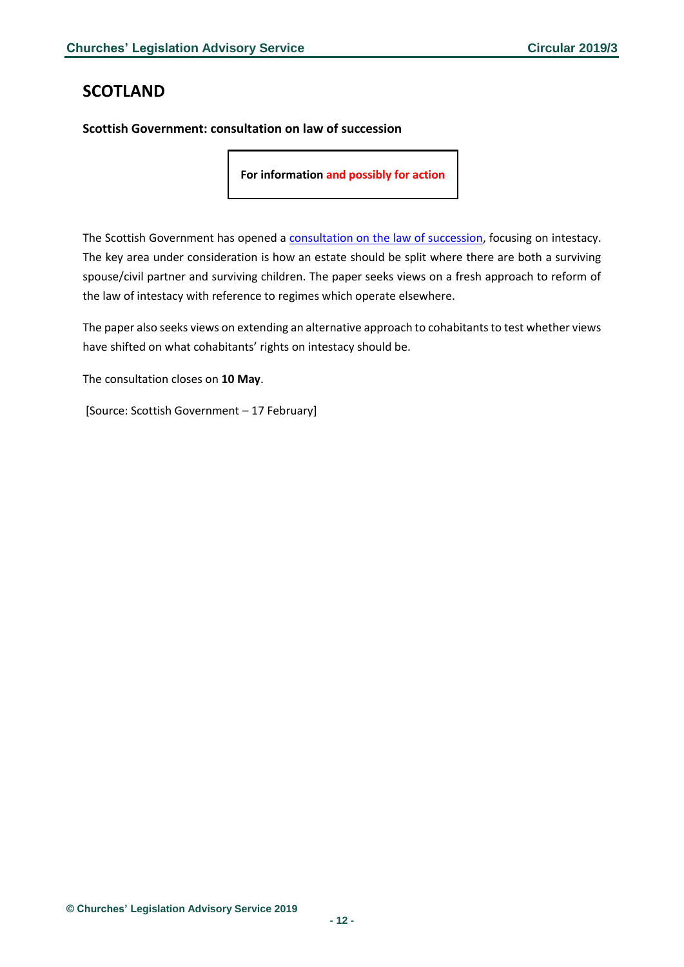# <span id="page-11-0"></span>**SCOTLAND**

<span id="page-11-1"></span>**Scottish Government: consultation on law of succession**

**For information and possibly for action**

The Scottish Government has opened a [consultation on the law of succession,](https://www.gov.scot/publications/consultation-law-succession/) focusing on intestacy. The key area under consideration is how an estate should be split where there are both a surviving spouse/civil partner and surviving children. The paper seeks views on a fresh approach to reform of the law of intestacy with reference to regimes which operate elsewhere.

The paper also seeks views on extending an alternative approach to cohabitants to test whether views have shifted on what cohabitants' rights on intestacy should be.

The consultation closes on **10 May**.

[Source: Scottish Government – 17 February]